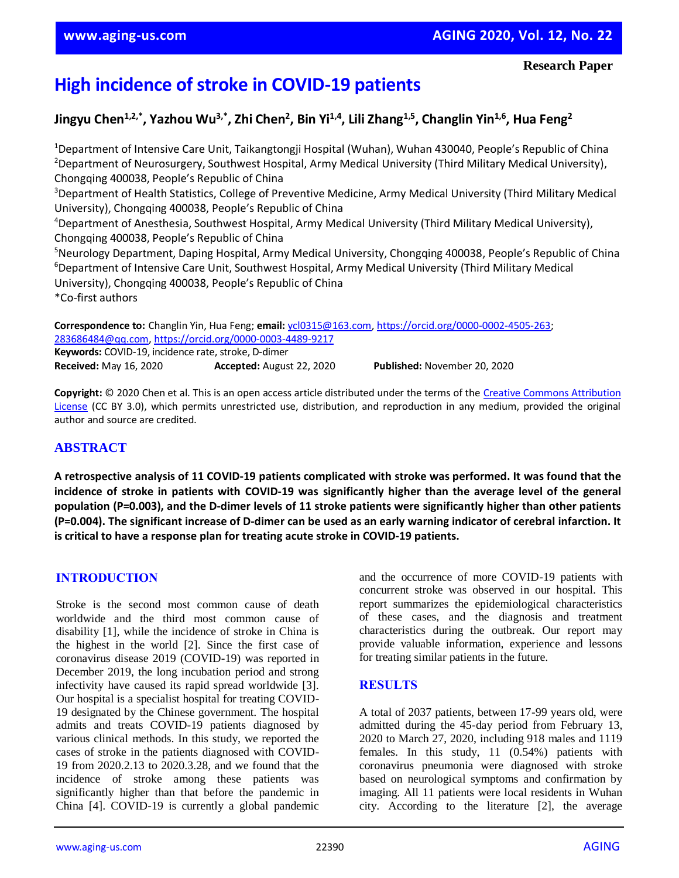#### **Research Paper**

# **High incidence of stroke in COVID-19 patients**

**Jingyu Chen1,2,\*, Yazhou Wu3,\*, Zhi Chen<sup>2</sup> , Bin Yi1,4, Lili Zhang1,5, Changlin Yin1,6, Hua Feng<sup>2</sup>**

<sup>1</sup>Department of Intensive Care Unit, Taikangtongji Hospital (Wuhan), Wuhan 430040, People's Republic of China <sup>2</sup>Department of Neurosurgery, Southwest Hospital, Army Medical University (Third Military Medical University), Chongqing 400038, People's Republic of China <sup>3</sup>Department of Health Statistics, College of Preventive Medicine, Army Medical University (Third Military Medical University), Chongqing 400038, People's Republic of China <sup>4</sup>Department of Anesthesia, Southwest Hospital, Army Medical University (Third Military Medical University), Chongqing 400038, People's Republic of China <sup>5</sup>Neurology Department, Daping Hospital, Army Medical University, Chongqing 400038, People's Republic of China <sup>6</sup>Department of Intensive Care Unit, Southwest Hospital, Army Medical University (Third Military Medical University), Chongqing 400038, People's Republic of China \*Co-first authors

**Correspondence to:** Changlin Yin, Hua Feng; **email:** [ycl0315@163.com,](mailto:ycl0315@163.com) [https://orcid.org/0000-0002-4505-263;](https://orcid.org/0000-0002-4505-263) [283686484@qq.com,](mailto:283686484@qq.com)<https://orcid.org/0000-0003-4489-9217> **Keywords:** COVID-19, incidence rate, stroke, D-dimer **Received:** May 16, 2020 **Accepted:** August 22, 2020 **Published:** November 20, 2020

**Copyright:** © 2020 Chen et al. This is an open access article distributed under the terms of the [Creative Commons Attribution](https://creativecommons.org/licenses/by/3.0/)  [License](https://creativecommons.org/licenses/by/3.0/) (CC BY 3.0), which permits unrestricted use, distribution, and reproduction in any medium, provided the original author and source are credited.

# **ABSTRACT**

A retrospective analysis of 11 COVID-19 patients complicated with stroke was performed. It was found that the incidence of stroke in patients with COVID-19 was significantly higher than the average level of the general **population (P=0.003), and the D-dimer levels of 11 stroke patients were significantly higher than other patients** (P=0.004). The significant increase of D-dimer can be used as an early warning indicator of cerebral infarction. It **is critical to have a response plan for treating acute stroke in COVID-19 patients.**

# **INTRODUCTION**

Stroke is the second most common cause of death worldwide and the third most common cause of disability [1], while the incidence of stroke in China is the highest in the world [2]. Since the first case of coronavirus disease 2019 (COVID-19) was reported in December 2019, the long incubation period and strong infectivity have caused its rapid spread worldwide [3]. Our hospital is a specialist hospital for treating COVID-19 designated by the Chinese government. The hospital admits and treats COVID-19 patients diagnosed by various clinical methods. In this study, we reported the cases of stroke in the patients diagnosed with COVID-19 from 2020.2.13 to 2020.3.28, and we found that the incidence of stroke among these patients was significantly higher than that before the pandemic in China [4]. COVID-19 is currently a global pandemic and the occurrence of more COVID-19 patients with concurrent stroke was observed in our hospital. This report summarizes the epidemiological characteristics of these cases, and the diagnosis and treatment characteristics during the outbreak. Our report may provide valuable information, experience and lessons for treating similar patients in the future.

#### **RESULTS**

A total of 2037 patients, between 17-99 years old, were admitted during the 45-day period from February 13, 2020 to March 27, 2020, including 918 males and 1119 females. In this study, 11 (0.54%) patients with coronavirus pneumonia were diagnosed with stroke based on neurological symptoms and confirmation by imaging. All 11 patients were local residents in Wuhan city. According to the literature [2], the average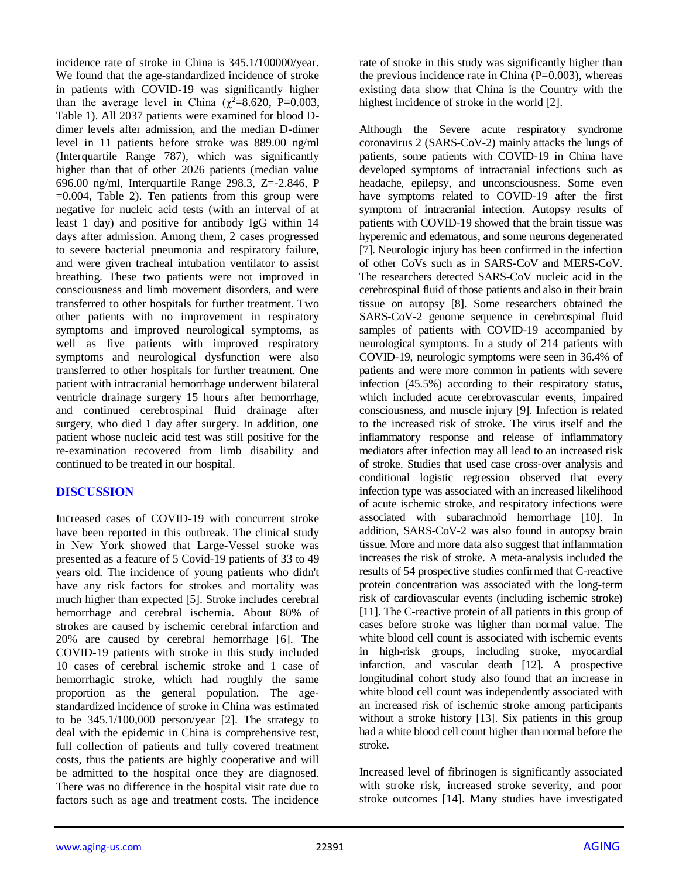incidence rate of stroke in China is 345.1/100000/year. We found that the age-standardized incidence of stroke in patients with COVID-19 was significantly higher than the average level in China ( $\chi^2$ =8.620, P=0.003, Table 1). All 2037 patients were examined for blood Ddimer levels after admission, and the median D-dimer level in 11 patients before stroke was 889.00 ng/ml (Interquartile Range 787), which was significantly higher than that of other 2026 patients (median value 696.00 ng/ml, Interquartile Range 298.3, Z=-2.846, P  $=0.004$ , Table 2). Ten patients from this group were negative for nucleic acid tests (with an interval of at least 1 day) and positive for antibody IgG within 14 days after admission. Among them, 2 cases progressed to severe bacterial pneumonia and respiratory failure, and were given tracheal intubation ventilator to assist breathing. These two patients were not improved in consciousness and limb movement disorders, and were transferred to other hospitals for further treatment. Two other patients with no improvement in respiratory symptoms and improved neurological symptoms, as well as five patients with improved respiratory symptoms and neurological dysfunction were also transferred to other hospitals for further treatment. One patient with intracranial hemorrhage underwent bilateral ventricle drainage surgery 15 hours after hemorrhage, and continued cerebrospinal fluid drainage after surgery, who died 1 day after surgery. In addition, one patient whose nucleic acid test was still positive for the re-examination recovered from limb disability and continued to be treated in our hospital.

# **DISCUSSION**

Increased cases of COVID-19 with concurrent stroke have been reported in this outbreak. The clinical study in New York showed that Large-Vessel stroke was presented as a feature of 5 Covid-19 patients of 33 to 49 years old. The incidence of young patients who didn't have any risk factors for strokes and mortality was much higher than expected [5]. Stroke includes cerebral hemorrhage and cerebral ischemia. About 80% of strokes are caused by ischemic cerebral infarction and 20% are caused by cerebral hemorrhage [6]. The COVID-19 patients with stroke in this study included 10 cases of cerebral ischemic stroke and 1 case of hemorrhagic stroke, which had roughly the same proportion as the general population. The agestandardized incidence of stroke in China was estimated to be 345.1/100,000 person/year [2]. The strategy to deal with the epidemic in China is comprehensive test, full collection of patients and fully covered treatment costs, thus the patients are highly cooperative and will be admitted to the hospital once they are diagnosed. There was no difference in the hospital visit rate due to factors such as age and treatment costs. The incidence

rate of stroke in this study was significantly higher than the previous incidence rate in China  $(P=0.003)$ , whereas existing data show that China is the Country with the highest incidence of stroke in the world [2].

Although the Severe acute respiratory syndrome coronavirus 2 (SARS-CoV-2) mainly attacks the lungs of patients, some patients with COVID-19 in China have developed symptoms of intracranial infections such as headache, epilepsy, and unconsciousness. Some even have symptoms related to COVID-19 after the first symptom of intracranial infection. Autopsy results of patients with COVID-19 showed that the brain tissue was hyperemic and edematous, and some neurons degenerated [7]. Neurologic injury has been confirmed in the infection of other CoVs such as in SARS-CoV and MERS-CoV. The researchers detected SARS-CoV nucleic acid in the cerebrospinal fluid of those patients and also in their brain tissue on autopsy [8]. Some researchers obtained the SARS-CoV-2 genome sequence in cerebrospinal fluid samples of patients with COVID-19 accompanied by neurological symptoms. In a study of 214 patients with COVID-19, neurologic symptoms were seen in 36.4% of patients and were more common in patients with severe infection (45.5%) according to their respiratory status, which included acute cerebrovascular events, impaired consciousness, and muscle injury [9]. Infection is related to the increased risk of stroke. The virus itself and the inflammatory response and release of inflammatory mediators after infection may all lead to an increased risk of stroke. Studies that used case cross-over analysis and conditional logistic regression observed that every infection type was associated with an increased likelihood of acute ischemic stroke, and respiratory infections were associated with subarachnoid hemorrhage [10]. In addition, SARS-CoV-2 was also found in autopsy brain tissue. More and more data also suggest that inflammation increases the risk of stroke. A meta-analysis included the results of 54 prospective studies confirmed that C-reactive protein concentration was associated with the long-term risk of cardiovascular events (including ischemic stroke) [11]. The C-reactive protein of all patients in this group of cases before stroke was higher than normal value. The white blood cell count is associated with ischemic events in high-risk groups, including stroke, myocardial infarction, and vascular death [12]. A prospective longitudinal cohort study also found that an increase in white blood cell count was independently associated with an increased risk of ischemic stroke among participants without a stroke history [13]. Six patients in this group had a white blood cell count higher than normal before the stroke.

Increased level of fibrinogen is significantly associated with stroke risk, increased stroke severity, and poor stroke outcomes [14]. Many studies have investigated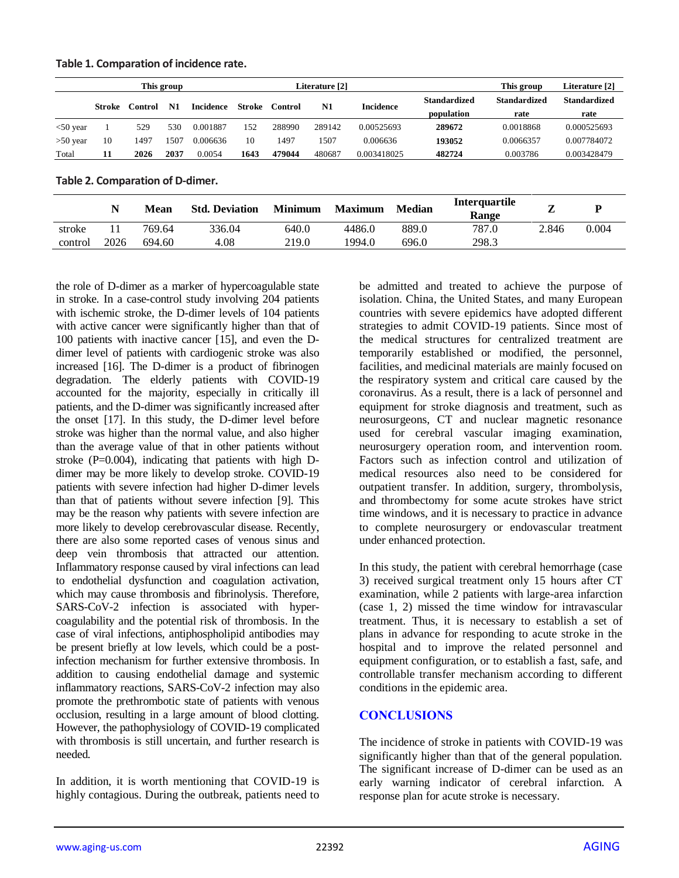| Table 1. Comparation of incidence rate. |  |
|-----------------------------------------|--|
|-----------------------------------------|--|

| This group  |                         |      |                  |          |         |        | Literature [2]   |                     |                     | Literature [2]      |             |
|-------------|-------------------------|------|------------------|----------|---------|--------|------------------|---------------------|---------------------|---------------------|-------------|
|             | N1<br>Stroke<br>Control |      | <b>Incidence</b> | Stroke   | Control | N1     | <b>Incidence</b> | <b>Standardized</b> | <b>Standardized</b> | <b>Standardized</b> |             |
|             |                         |      |                  |          |         |        |                  |                     | population          | rate                | rate        |
| $<$ 50 year |                         | 529  | 530              | 0.001887 | 152     | 288990 | 289142           | 0.00525693          | 289672              | 0.0018868           | 0.000525693 |
| $>50$ year  | 10                      | 1497 | 1507             | 0.006636 |         | 1497   | 1507             | 0.006636            | 193052              | 0.0066357           | 0.007784072 |
| Total       | 11                      | 2026 | 2037             | 0.0054   | 1643    | 479044 | 480687           | 0.003418025         | 482724              | 0.003786            | 0.003428479 |

**Table 2. Comparation of D-dimer.**

|         |      | Mean   | <b>Std. Deviation</b> | <b>Minimum</b> | <b>Maximum</b> | <b>Median</b> | Interquartile<br>Range |       |       |
|---------|------|--------|-----------------------|----------------|----------------|---------------|------------------------|-------|-------|
| stroke  |      | 769.64 | 336.04                | 640.0          | 4486.0         | 889.0         | 787.0                  | 2.846 | 0.004 |
| control | 2026 | 694.60 | 4.08                  | 219.0          | 1994.0         | 696.0         | 298.3                  |       |       |

the role of D-dimer as a marker of hypercoagulable state in stroke. In a case-control study involving 204 patients with ischemic stroke, the D-dimer levels of 104 patients with active cancer were significantly higher than that of 100 patients with inactive cancer [15], and even the Ddimer level of patients with cardiogenic stroke was also increased [16]. The D-dimer is a product of fibrinogen degradation. The elderly patients with COVID-19 accounted for the majority, especially in critically ill patients, and the D-dimer was significantly increased after the onset [17]. In this study, the D-dimer level before stroke was higher than the normal value, and also higher than the average value of that in other patients without stroke  $(P=0.004)$ , indicating that patients with high Ddimer may be more likely to develop stroke. COVID-19 patients with severe infection had higher D-dimer levels than that of patients without severe infection [9]. This may be the reason why patients with severe infection are more likely to develop cerebrovascular disease. Recently, there are also some reported cases of venous sinus and deep vein thrombosis that attracted our attention. Inflammatory response caused by viral infections can lead to endothelial dysfunction and coagulation activation, which may cause thrombosis and fibrinolysis. Therefore, SARS-CoV-2 infection is associated with hypercoagulability and the potential risk of thrombosis. In the case of viral infections, antiphospholipid antibodies may be present briefly at low levels, which could be a postinfection mechanism for further extensive thrombosis. In addition to causing endothelial damage and systemic inflammatory reactions, SARS-CoV-2 infection may also promote the prethrombotic state of patients with venous occlusion, resulting in a large amount of blood clotting. However, the pathophysiology of COVID-19 complicated with thrombosis is still uncertain, and further research is needed.

In addition, it is worth mentioning that COVID-19 is highly contagious. During the outbreak, patients need to be admitted and treated to achieve the purpose of isolation. China, the United States, and many European countries with severe epidemics have adopted different strategies to admit COVID-19 patients. Since most of the medical structures for centralized treatment are temporarily established or modified, the personnel, facilities, and medicinal materials are mainly focused on the respiratory system and critical care caused by the coronavirus. As a result, there is a lack of personnel and equipment for stroke diagnosis and treatment, such as neurosurgeons, CT and nuclear magnetic resonance used for cerebral vascular imaging examination, neurosurgery operation room, and intervention room. Factors such as infection control and utilization of medical resources also need to be considered for outpatient transfer. In addition, surgery, thrombolysis, and thrombectomy for some acute strokes have strict time windows, and it is necessary to practice in advance to complete neurosurgery or endovascular treatment under enhanced protection.

In this study, the patient with cerebral hemorrhage (case 3) received surgical treatment only 15 hours after CT examination, while 2 patients with large-area infarction (case 1, 2) missed the time window for intravascular treatment. Thus, it is necessary to establish a set of plans in advance for responding to acute stroke in the hospital and to improve the related personnel and equipment configuration, or to establish a fast, safe, and controllable transfer mechanism according to different conditions in the epidemic area.

# **CONCLUSIONS**

The incidence of stroke in patients with COVID-19 was significantly higher than that of the general population. The significant increase of D-dimer can be used as an early warning indicator of cerebral infarction. A response plan for acute stroke is necessary.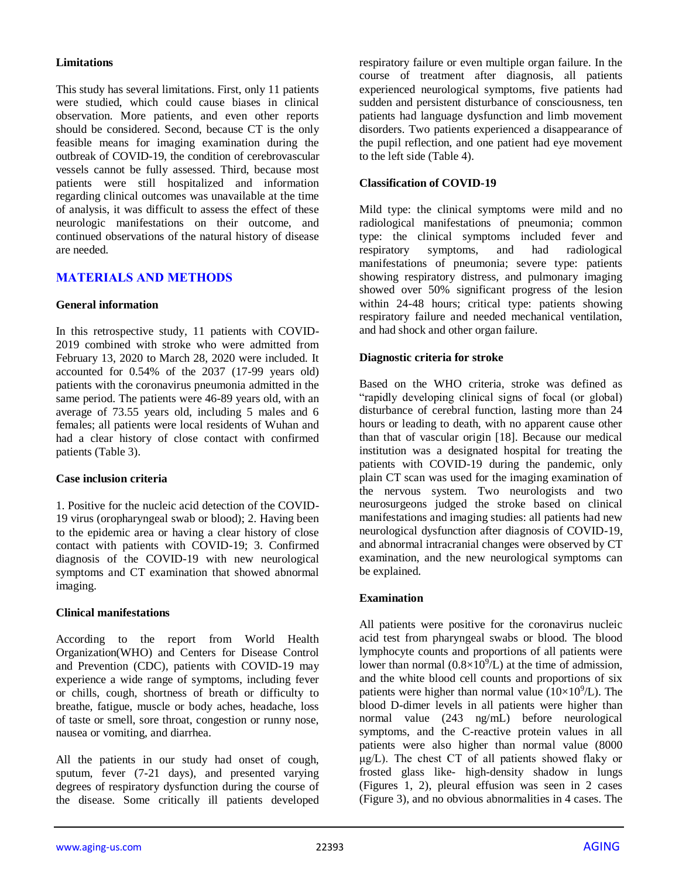#### **Limitations**

This study has several limitations. First, only 11 patients were studied, which could cause biases in clinical observation. More patients, and even other reports should be considered. Second, because CT is the only feasible means for imaging examination during the outbreak of COVID-19, the condition of cerebrovascular vessels cannot be fully assessed. Third, because most patients were still hospitalized and information regarding clinical outcomes was unavailable at the time of analysis, it was difficult to assess the effect of these neurologic manifestations on their outcome, and continued observations of the natural history of disease are needed.

# **MATERIALS AND METHODS**

#### **General information**

In this retrospective study, 11 patients with COVID-2019 combined with stroke who were admitted from February 13, 2020 to March 28, 2020 were included. It accounted for 0.54% of the 2037 (17-99 years old) patients with the coronavirus pneumonia admitted in the same period. The patients were 46-89 years old, with an average of 73.55 years old, including 5 males and 6 females; all patients were local residents of Wuhan and had a clear history of close contact with confirmed patients (Table 3).

#### **Case inclusion criteria**

1. Positive for the nucleic acid detection of the COVID-19 virus (oropharyngeal swab or blood); 2. Having been to the epidemic area or having a clear history of close contact with patients with COVID-19; 3. Confirmed diagnosis of the COVID-19 with new neurological symptoms and CT examination that showed abnormal imaging.

#### **Clinical manifestations**

According to the report from World Health Organization(WHO) and Centers for Disease Control and Prevention (CDC), patients with COVID-19 may experience a wide range of symptoms, including fever or chills, cough, shortness of breath or difficulty to breathe, fatigue, muscle or body aches, headache, loss of taste or smell, sore throat, congestion or runny nose, nausea or vomiting, and diarrhea.

All the patients in our study had onset of cough, sputum, fever (7-21 days), and presented varying degrees of respiratory dysfunction during the course of the disease. Some critically ill patients developed respiratory failure or even multiple organ failure. In the course of treatment after diagnosis, all patients experienced neurological symptoms, five patients had sudden and persistent disturbance of consciousness, ten patients had language dysfunction and limb movement disorders. Two patients experienced a disappearance of the pupil reflection, and one patient had eye movement to the left side (Table 4).

#### **Classification of COVID-19**

Mild type: the clinical symptoms were mild and no radiological manifestations of pneumonia; common type: the clinical symptoms included fever and respiratory symptoms, and had radiological manifestations of pneumonia; severe type: patients showing respiratory distress, and pulmonary imaging showed over 50% significant progress of the lesion within 24-48 hours; critical type: patients showing respiratory failure and needed mechanical ventilation, and had shock and other organ failure.

#### **Diagnostic criteria for stroke**

Based on the WHO criteria, stroke was defined as "rapidly developing clinical signs of focal (or global) disturbance of cerebral function, lasting more than 24 hours or leading to death, with no apparent cause other than that of vascular origin [18]. Because our medical institution was a designated hospital for treating the patients with COVID-19 during the pandemic, only plain CT scan was used for the imaging examination of the nervous system. Two neurologists and two neurosurgeons judged the stroke based on clinical manifestations and imaging studies: all patients had new neurological dysfunction after diagnosis of COVID-19, and abnormal intracranial changes were observed by CT examination, and the new neurological symptoms can be explained.

#### **Examination**

All patients were positive for the coronavirus nucleic acid test from pharyngeal swabs or blood. The blood lymphocyte counts and proportions of all patients were lower than normal  $(0.8\times10^9)L$  at the time of admission, and the white blood cell counts and proportions of six patients were higher than normal value  $(10\times10^{9}/L)$ . The blood D-dimer levels in all patients were higher than normal value (243 ng/mL) before neurological symptoms, and the C-reactive protein values in all patients were also higher than normal value (8000 μg/L). The chest CT of all patients showed flaky or frosted glass like- high-density shadow in lungs (Figures 1, 2), pleural effusion was seen in 2 cases (Figure 3), and no obvious abnormalities in 4 cases. The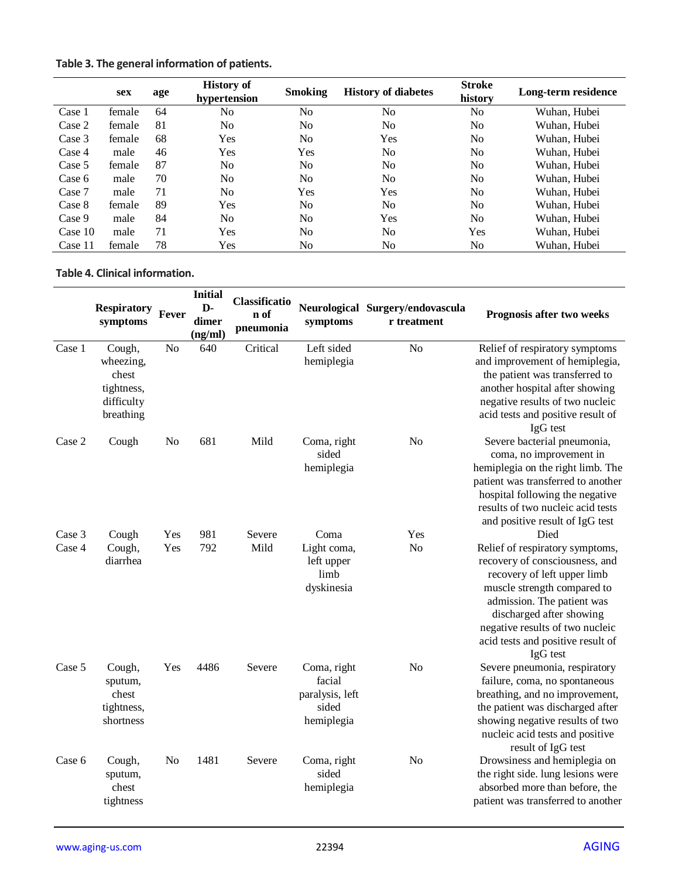|  |  | Table 3. The general information of patients. |  |  |
|--|--|-----------------------------------------------|--|--|
|--|--|-----------------------------------------------|--|--|

|         | sex    | age | <b>History of</b><br>hypertension | <b>Smoking</b> | <b>History of diabetes</b> | <b>Stroke</b><br>history | Long-term residence |
|---------|--------|-----|-----------------------------------|----------------|----------------------------|--------------------------|---------------------|
| Case 1  | female | 64  | No                                | N <sub>0</sub> | N <sub>0</sub>             | No                       | Wuhan, Hubei        |
| Case 2  | female | 81  | No                                | N <sub>0</sub> | N <sub>0</sub>             | No.                      | Wuhan, Hubei        |
| Case 3  | female | 68  | Yes                               | N <sub>0</sub> | Yes                        | No.                      | Wuhan, Hubei        |
| Case 4  | male   | 46  | Yes                               | Yes            | N <sub>o</sub>             | N <sub>0</sub>           | Wuhan. Hubei        |
| Case 5  | female | 87  | No                                | N <sub>0</sub> | N <sub>o</sub>             | N <sub>0</sub>           | Wuhan. Hubei        |
| Case 6  | male   | 70  | No                                | N <sub>0</sub> | N <sub>0</sub>             | N <sub>0</sub>           | Wuhan. Hubei        |
| Case 7  | male   | 71  | No                                | Yes            | Yes                        | No.                      | Wuhan. Hubei        |
| Case 8  | female | 89  | Yes                               | N <sub>0</sub> | N <sub>0</sub>             | No.                      | Wuhan. Hubei        |
| Case 9  | male   | 84  | No                                | N <sub>0</sub> | Yes                        | N <sub>0</sub>           | Wuhan, Hubei        |
| Case 10 | male   | 71  | Yes                               | N <sub>0</sub> | N <sub>o</sub>             | Yes                      | Wuhan. Hubei        |
| Case 11 | female | 78  | Yes                               | No             | N <sub>0</sub>             | No.                      | Wuhan, Hubei        |

#### **Table 4. Clinical information.**

|                  | <b>Respiratory</b><br>symptoms                                        | Fever          | <b>Initial</b><br>$\mathbf{D}$<br>dimer<br>(ng/ml) | Classificatio<br>n of<br>pneumonia | symptoms                                                        | Neurological Surgery/endovascula<br>r treatment | Prognosis after two weeks                                                                                                                                                                                                                                                             |
|------------------|-----------------------------------------------------------------------|----------------|----------------------------------------------------|------------------------------------|-----------------------------------------------------------------|-------------------------------------------------|---------------------------------------------------------------------------------------------------------------------------------------------------------------------------------------------------------------------------------------------------------------------------------------|
| Case 1           | Cough,<br>wheezing,<br>chest<br>tightness,<br>difficulty<br>breathing | N <sub>o</sub> | 640                                                | Critical                           | Left sided<br>hemiplegia                                        | N <sub>o</sub>                                  | Relief of respiratory symptoms<br>and improvement of hemiplegia,<br>the patient was transferred to<br>another hospital after showing<br>negative results of two nucleic<br>acid tests and positive result of<br>IgG test                                                              |
| Case 2           | Cough                                                                 | No             | 681                                                | Mild                               | Coma, right<br>sided<br>hemiplegia                              | N <sub>o</sub>                                  | Severe bacterial pneumonia,<br>coma, no improvement in<br>hemiplegia on the right limb. The<br>patient was transferred to another<br>hospital following the negative<br>results of two nucleic acid tests<br>and positive result of IgG test                                          |
| Case 3<br>Case 4 | Cough<br>Cough,<br>diarrhea                                           | Yes<br>Yes     | 981<br>792                                         | Severe<br>Mild                     | Coma<br>Light coma,<br>left upper<br>limb<br>dyskinesia         | Yes<br>N <sub>o</sub>                           | Died<br>Relief of respiratory symptoms,<br>recovery of consciousness, and<br>recovery of left upper limb<br>muscle strength compared to<br>admission. The patient was<br>discharged after showing<br>negative results of two nucleic<br>acid tests and positive result of<br>IgG test |
| Case 5           | Cough,<br>sputum,<br>chest<br>tightness,<br>shortness                 | Yes            | 4486                                               | Severe                             | Coma, right<br>facial<br>paralysis, left<br>sided<br>hemiplegia | N <sub>o</sub>                                  | Severe pneumonia, respiratory<br>failure, coma, no spontaneous<br>breathing, and no improvement,<br>the patient was discharged after<br>showing negative results of two<br>nucleic acid tests and positive<br>result of IgG test                                                      |
| Case 6           | Cough,<br>sputum,<br>chest<br>tightness                               | No             | 1481                                               | Severe                             | Coma, right<br>sided<br>hemiplegia                              | N <sub>o</sub>                                  | Drowsiness and hemiplegia on<br>the right side. lung lesions were<br>absorbed more than before, the<br>patient was transferred to another                                                                                                                                             |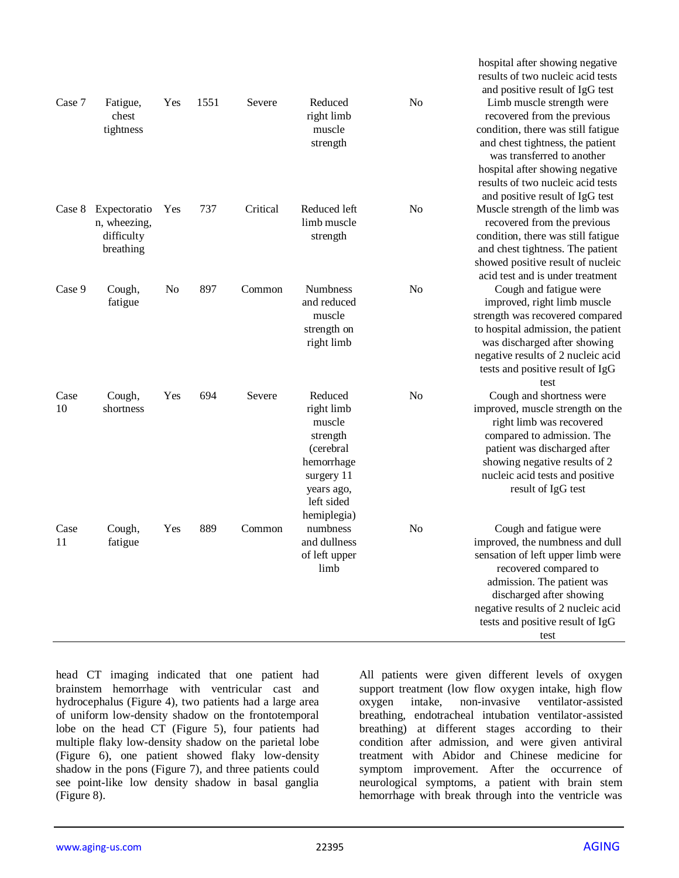| Case 7     | Fatigue,                                                | Yes | 1551 | Severe   | Reduced                                                                                                                         | No             | and positive result of IgG test<br>Limb muscle strength were                                                                                                                                                                                                        |
|------------|---------------------------------------------------------|-----|------|----------|---------------------------------------------------------------------------------------------------------------------------------|----------------|---------------------------------------------------------------------------------------------------------------------------------------------------------------------------------------------------------------------------------------------------------------------|
|            | chest<br>tightness                                      |     |      |          | right limb<br>muscle<br>strength                                                                                                |                | recovered from the previous<br>condition, there was still fatigue<br>and chest tightness, the patient<br>was transferred to another<br>hospital after showing negative<br>results of two nucleic acid tests<br>and positive result of IgG test                      |
| Case 8     | Expectoratio<br>n, wheezing,<br>difficulty<br>breathing | Yes | 737  | Critical | Reduced left<br>limb muscle<br>strength                                                                                         | No             | Muscle strength of the limb was<br>recovered from the previous<br>condition, there was still fatigue<br>and chest tightness. The patient<br>showed positive result of nucleic<br>acid test and is under treatment                                                   |
| Case 9     | Cough,<br>fatigue                                       | No  | 897  | Common   | Numbness<br>and reduced<br>muscle<br>strength on<br>right limb                                                                  | No             | Cough and fatigue were<br>improved, right limb muscle<br>strength was recovered compared<br>to hospital admission, the patient<br>was discharged after showing<br>negative results of 2 nucleic acid<br>tests and positive result of IgG<br>test                    |
| Case<br>10 | Cough,<br>shortness                                     | Yes | 694  | Severe   | Reduced<br>right limb<br>muscle<br>strength<br>(cerebral<br>hemorrhage<br>surgery 11<br>years ago,<br>left sided<br>hemiplegia) | N <sub>o</sub> | Cough and shortness were<br>improved, muscle strength on the<br>right limb was recovered<br>compared to admission. The<br>patient was discharged after<br>showing negative results of 2<br>nucleic acid tests and positive<br>result of IgG test                    |
| Case<br>11 | Cough,<br>fatigue                                       | Yes | 889  | Common   | numbness<br>and dullness<br>of left upper<br>limb                                                                               | N <sub>o</sub> | Cough and fatigue were<br>improved, the numbness and dull<br>sensation of left upper limb were<br>recovered compared to<br>admission. The patient was<br>discharged after showing<br>negative results of 2 nucleic acid<br>tests and positive result of IgG<br>test |

head CT imaging indicated that one patient had brainstem hemorrhage with ventricular cast and hydrocephalus (Figure 4), two patients had a large area of uniform low-density shadow on the frontotemporal lobe on the head CT (Figure 5), four patients had multiple flaky low-density shadow on the parietal lobe (Figure 6), one patient showed flaky low-density shadow in the pons (Figure 7), and three patients could see point-like low density shadow in basal ganglia (Figure 8).

All patients were given different levels of oxygen support treatment (low flow oxygen intake, high flow oxygen intake, non-invasive ventilator-assisted breathing, endotracheal intubation ventilator-assisted breathing) at different stages according to their condition after admission, and were given antiviral treatment with Abidor and Chinese medicine for symptom improvement. After the occurrence of neurological symptoms, a patient with brain stem hemorrhage with break through into the ventricle was

hospital after showing negative results of two nucleic acid tests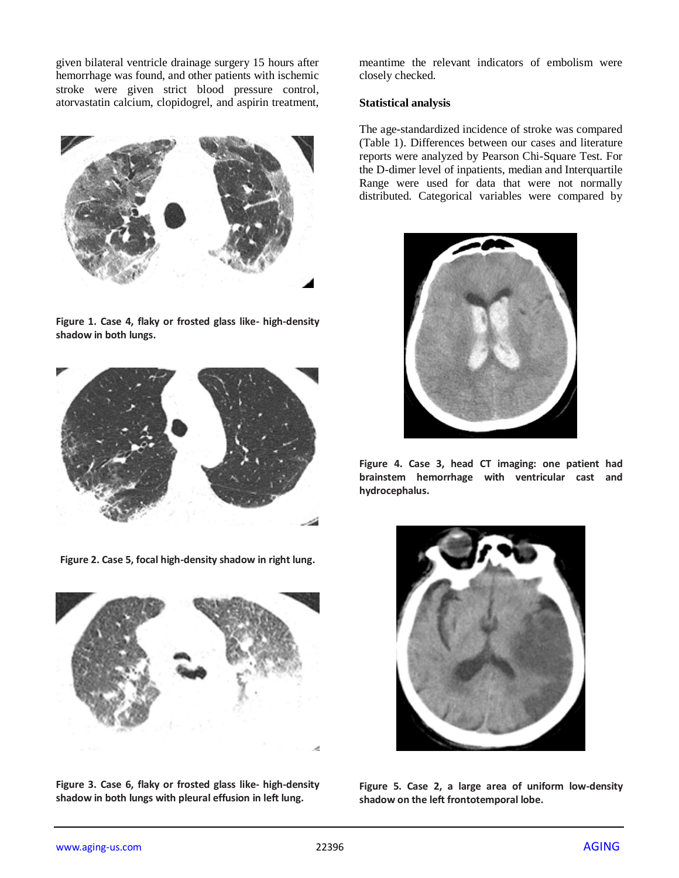given bilateral ventricle drainage surgery 15 hours after hemorrhage was found, and other patients with ischemic stroke were given strict blood pressure control, atorvastatin calcium, clopidogrel, and aspirin treatment,



**Figure 1. Case 4, flaky or frosted glass like- high-density shadow in both lungs.**



**Figure 2. Case 5, focal high-density shadow in right lung.**



**Figure 3. Case 6, flaky or frosted glass like- high-density shadow in both lungs with pleural effusion in left lung.**

meantime the relevant indicators of embolism were closely checked.

#### **Statistical analysis**

The age-standardized incidence of stroke was compared (Table 1). Differences between our cases and literature reports were analyzed by Pearson Chi-Square Test. For the D-dimer level of inpatients, median and Interquartile Range were used for data that were not normally distributed. Categorical variables were compared by



**Figure 4. Case 3, head CT imaging: one patient had brainstem hemorrhage with ventricular cast and hydrocephalus.**



**Figure 5. Case 2, a large area of uniform low-density shadow on the left frontotemporal lobe.**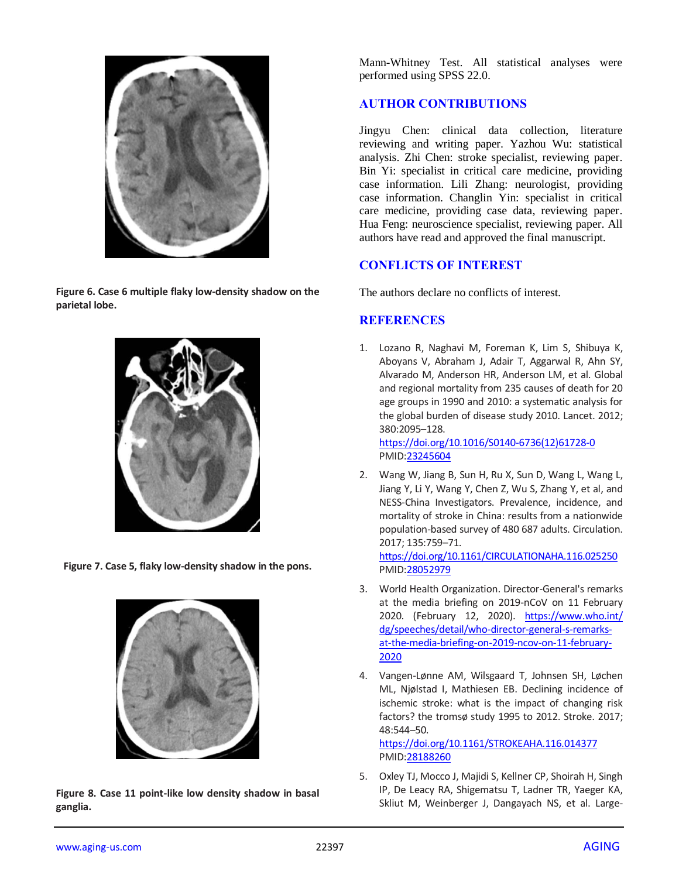

**Figure 6. Case 6 multiple flaky low-density shadow on the parietal lobe.**



**Figure 7. Case 5, flaky low-density shadow in the pons.**



**Figure 8. Case 11 point-like low density shadow in basal ganglia.**

Mann-Whitney Test. All statistical analyses were performed using SPSS 22.0.

# **AUTHOR CONTRIBUTIONS**

Jingyu Chen: clinical data collection, literature reviewing and writing paper. Yazhou Wu: statistical analysis. Zhi Chen: stroke specialist, reviewing paper. Bin Yi: specialist in critical care medicine, providing case information. Lili Zhang: neurologist, providing case information. Changlin Yin: specialist in critical care medicine, providing case data, reviewing paper. Hua Feng: neuroscience specialist, reviewing paper. All authors have read and approved the final manuscript.

# **CONFLICTS OF INTEREST**

The authors declare no conflicts of interest.

# **REFERENCES**

1. Lozano R, Naghavi M, Foreman K, Lim S, Shibuya K, Aboyans V, Abraham J, Adair T, Aggarwal R, Ahn SY, Alvarado M, Anderson HR, Anderson LM, et al. Global and regional mortality from 235 causes of death for 20 age groups in 1990 and 2010: a systematic analysis for the global burden of disease study 2010. Lancet. 2012; 380:2095–128.

[https://doi.org/10.1016/S0140-6736\(12\)61728-0](https://doi.org/10.1016/S0140-6736(12)61728-0) PMI[D:23245604](https://pubmed.ncbi.nlm.nih.gov/23245604)

2. Wang W, Jiang B, Sun H, Ru X, Sun D, Wang L, Wang L, Jiang Y, Li Y, Wang Y, Chen Z, Wu S, Zhang Y, et al, and NESS-China Investigators. Prevalence, incidence, and mortality of stroke in China: results from a nationwide population-based survey of 480 687 adults. Circulation. 2017; 135:759–71.

<https://doi.org/10.1161/CIRCULATIONAHA.116.025250> PMI[D:28052979](https://pubmed.ncbi.nlm.nih.gov/28052979)

- 3. World Health Organization. Director-General's remarks at the media briefing on 2019-nCoV on 11 February 2020. (February 12, 2020). [https://www.who.int/](https://www.who.int/dg/speeches/detail/who-director-general-s-remarks-at-the-media-briefing-on-2019-ncov-on-11-february-2020) [dg/speeches/detail/who-director-general-s-remarks](https://www.who.int/dg/speeches/detail/who-director-general-s-remarks-at-the-media-briefing-on-2019-ncov-on-11-february-2020)[at-the-media-briefing-on-2019-ncov-on-11-february-](https://www.who.int/dg/speeches/detail/who-director-general-s-remarks-at-the-media-briefing-on-2019-ncov-on-11-february-2020)[2020](https://www.who.int/dg/speeches/detail/who-director-general-s-remarks-at-the-media-briefing-on-2019-ncov-on-11-february-2020)
- 4. Vangen-Lønne AM, Wilsgaard T, Johnsen SH, Løchen ML, Njølstad I, Mathiesen EB. Declining incidence of ischemic stroke: what is the impact of changing risk factors? the tromsø study 1995 to 2012. Stroke. 2017; 48:544–50.

<https://doi.org/10.1161/STROKEAHA.116.014377> PMI[D:28188260](https://pubmed.ncbi.nlm.nih.gov/28188260)

5. Oxley TJ, Mocco J, Majidi S, Kellner CP, Shoirah H, Singh IP, De Leacy RA, Shigematsu T, Ladner TR, Yaeger KA, Skliut M, Weinberger J, Dangayach NS, et al. Large